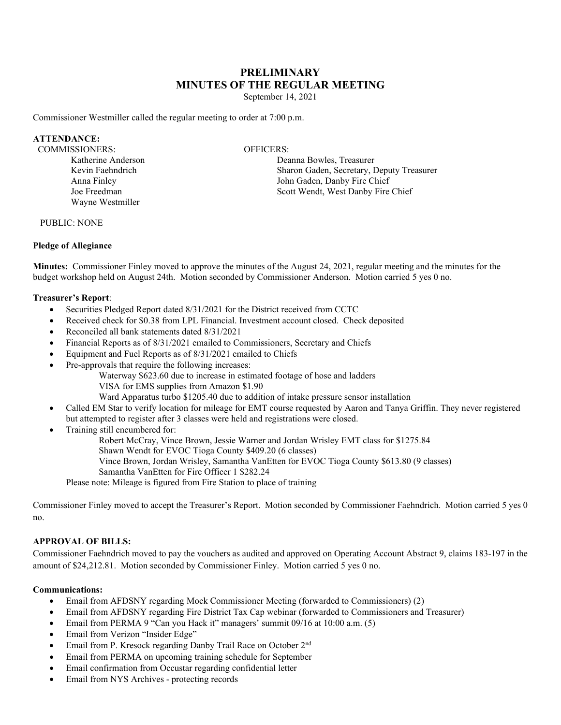# **PRELIMINARY MINUTES OF THE REGULAR MEETING**

September 14, 2021

Commissioner Westmiller called the regular meeting to order at 7:00 p.m.

#### **ATTENDANCE:**

COMMISSIONERS: OFFICERS: Katherine Anderson Kevin Faehndrich Anna Finley Joe Freedman Wayne Westmiller

Deanna Bowles, Treasurer Sharon Gaden, Secretary, Deputy Treasurer John Gaden, Danby Fire Chief Scott Wendt, West Danby Fire Chief

PUBLIC: NONE

#### **Pledge of Allegiance**

**Minutes:** Commissioner Finley moved to approve the minutes of the August 24, 2021, regular meeting and the minutes for the budget workshop held on August 24th. Motion seconded by Commissioner Anderson. Motion carried 5 yes 0 no.

#### **Treasurer's Report**:

- Securities Pledged Report dated 8/31/2021 for the District received from CCTC
- Received check for \$0.38 from LPL Financial. Investment account closed. Check deposited
- Reconciled all bank statements dated 8/31/2021
- Financial Reports as of 8/31/2021 emailed to Commissioners, Secretary and Chiefs
- Equipment and Fuel Reports as of 8/31/2021 emailed to Chiefs
- Pre-approvals that require the following increases:
	- Waterway \$623.60 due to increase in estimated footage of hose and ladders
	- VISA for EMS supplies from Amazon \$1.90
	- Ward Apparatus turbo \$1205.40 due to addition of intake pressure sensor installation
- Called EM Star to verify location for mileage for EMT course requested by Aaron and Tanya Griffin. They never registered but attempted to register after 3 classes were held and registrations were closed.
- Training still encumbered for:
	- Robert McCray, Vince Brown, Jessie Warner and Jordan Wrisley EMT class for \$1275.84
	- Shawn Wendt for EVOC Tioga County \$409.20 (6 classes)
	- Vince Brown, Jordan Wrisley, Samantha VanEtten for EVOC Tioga County \$613.80 (9 classes)
	- Samantha VanEtten for Fire Officer 1 \$282.24
	- Please note: Mileage is figured from Fire Station to place of training

Commissioner Finley moved to accept the Treasurer's Report. Motion seconded by Commissioner Faehndrich. Motion carried 5 yes 0 no.

# **APPROVAL OF BILLS:**

Commissioner Faehndrich moved to pay the vouchers as audited and approved on Operating Account Abstract 9, claims 183-197 in the amount of \$24,212.81. Motion seconded by Commissioner Finley. Motion carried 5 yes 0 no.

# **Communications:**

- Email from AFDSNY regarding Mock Commissioner Meeting (forwarded to Commissioners) (2)
- Email from AFDSNY regarding Fire District Tax Cap webinar (forwarded to Commissioners and Treasurer)
- Email from PERMA 9 "Can you Hack it" managers' summit 09/16 at 10:00 a.m. (5)
- Email from Verizon "Insider Edge"
- Email from P. Kresock regarding Danby Trail Race on October 2nd
- Email from PERMA on upcoming training schedule for September
- Email confirmation from Occustar regarding confidential letter
- Email from NYS Archives protecting records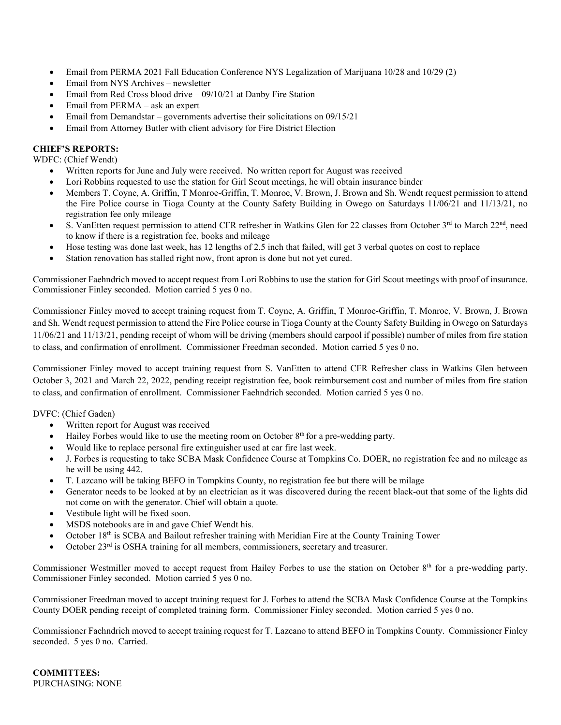- Email from PERMA 2021 Fall Education Conference NYS Legalization of Marijuana 10/28 and 10/29 (2)
- Email from NYS Archives newsletter
- Email from Red Cross blood drive  $09/10/21$  at Danby Fire Station
- Email from PERMA ask an expert
- Email from Demandstar governments advertise their solicitations on 09/15/21
- Email from Attorney Butler with client advisory for Fire District Election

# **CHIEF'S REPORTS:**

WDFC: (Chief Wendt)

- Written reports for June and July were received. No written report for August was received
- Lori Robbins requested to use the station for Girl Scout meetings, he will obtain insurance binder
- Members T. Coyne, A. Griffin, T Monroe-Griffin, T. Monroe, V. Brown, J. Brown and Sh. Wendt request permission to attend the Fire Police course in Tioga County at the County Safety Building in Owego on Saturdays 11/06/21 and 11/13/21, no registration fee only mileage
- S. VanEtten request permission to attend CFR refresher in Watkins Glen for 22 classes from October 3rd to March 22<sup>nd</sup>, need to know if there is a registration fee, books and mileage
- Hose testing was done last week, has 12 lengths of 2.5 inch that failed, will get 3 verbal quotes on cost to replace
- Station renovation has stalled right now, front apron is done but not yet cured.

Commissioner Faehndrich moved to accept request from Lori Robbins to use the station for Girl Scout meetings with proof of insurance. Commissioner Finley seconded. Motion carried 5 yes 0 no.

Commissioner Finley moved to accept training request from T. Coyne, A. Griffin, T Monroe-Griffin, T. Monroe, V. Brown, J. Brown and Sh. Wendt request permission to attend the Fire Police course in Tioga County at the County Safety Building in Owego on Saturdays 11/06/21 and 11/13/21, pending receipt of whom will be driving (members should carpool if possible) number of miles from fire station to class, and confirmation of enrollment. Commissioner Freedman seconded. Motion carried 5 yes 0 no.

Commissioner Finley moved to accept training request from S. VanEtten to attend CFR Refresher class in Watkins Glen between October 3, 2021 and March 22, 2022, pending receipt registration fee, book reimbursement cost and number of miles from fire station to class, and confirmation of enrollment. Commissioner Faehndrich seconded. Motion carried 5 yes 0 no.

# DVFC: (Chief Gaden)

- Written report for August was received
- Hailey Forbes would like to use the meeting room on October 8th for a pre-wedding party.
- Would like to replace personal fire extinguisher used at car fire last week.
- J. Forbes is requesting to take SCBA Mask Confidence Course at Tompkins Co. DOER, no registration fee and no mileage as he will be using 442.
- T. Lazcano will be taking BEFO in Tompkins County, no registration fee but there will be milage
- Generator needs to be looked at by an electrician as it was discovered during the recent black-out that some of the lights did not come on with the generator. Chief will obtain a quote.
- Vestibule light will be fixed soon.
- MSDS notebooks are in and gave Chief Wendt his.
- October  $18<sup>th</sup>$  is SCBA and Bailout refresher training with Meridian Fire at the County Training Tower
- October 23rd is OSHA training for all members, commissioners, secretary and treasurer.

Commissioner Westmiller moved to accept request from Hailey Forbes to use the station on October 8<sup>th</sup> for a pre-wedding party. Commissioner Finley seconded. Motion carried 5 yes 0 no.

Commissioner Freedman moved to accept training request for J. Forbes to attend the SCBA Mask Confidence Course at the Tompkins County DOER pending receipt of completed training form. Commissioner Finley seconded. Motion carried 5 yes 0 no.

Commissioner Faehndrich moved to accept training request for T. Lazcano to attend BEFO in Tompkins County. Commissioner Finley seconded. 5 yes 0 no. Carried.

**COMMITTEES:** PURCHASING: NONE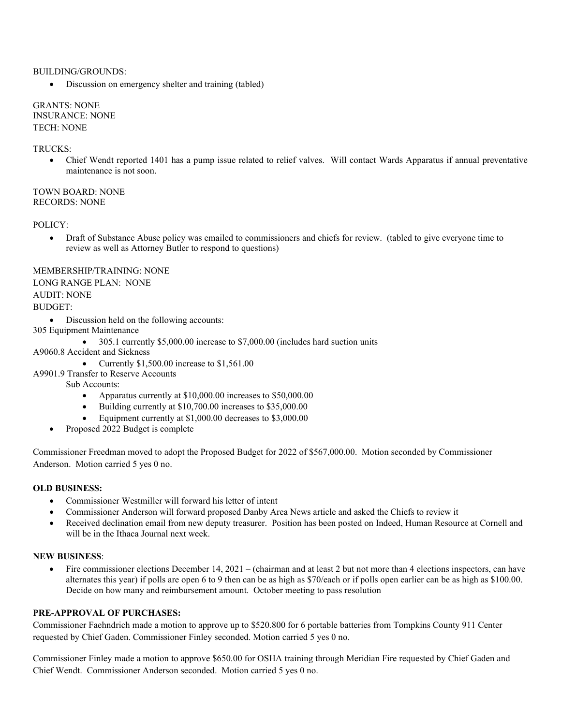#### BUILDING/GROUNDS:

• Discussion on emergency shelter and training (tabled)

GRANTS: NONE INSURANCE: NONE TECH: NONE

#### TRUCKS:

• Chief Wendt reported 1401 has a pump issue related to relief valves. Will contact Wards Apparatus if annual preventative maintenance is not soon.

TOWN BOARD: NONE RECORDS: NONE

POLICY:

• Draft of Substance Abuse policy was emailed to commissioners and chiefs for review. (tabled to give everyone time to review as well as Attorney Butler to respond to questions)

# MEMBERSHIP/TRAINING: NONE

#### LONG RANGE PLAN: NONE AUDIT: NONE

# BUDGET:

- Discussion held on the following accounts:
- 305 Equipment Maintenance
	- 305.1 currently \$5,000.00 increase to \$7,000.00 (includes hard suction units

A9060.8 Accident and Sickness

- Currently \$1,500.00 increase to \$1,561.00
- A9901.9 Transfer to Reserve Accounts

Sub Accounts:

- Apparatus currently at \$10,000.00 increases to \$50,000.00
- Building currently at \$10,700.00 increases to \$35,000.00
- Equipment currently at \$1,000.00 decreases to \$3,000.00
- Proposed 2022 Budget is complete

Commissioner Freedman moved to adopt the Proposed Budget for 2022 of \$567,000.00. Motion seconded by Commissioner Anderson. Motion carried 5 yes 0 no.

# **OLD BUSINESS:**

- Commissioner Westmiller will forward his letter of intent
- Commissioner Anderson will forward proposed Danby Area News article and asked the Chiefs to review it
- Received declination email from new deputy treasurer. Position has been posted on Indeed, Human Resource at Cornell and will be in the Ithaca Journal next week.

# **NEW BUSINESS**:

• Fire commissioner elections December 14, 2021 – (chairman and at least 2 but not more than 4 elections inspectors, can have alternates this year) if polls are open 6 to 9 then can be as high as \$70/each or if polls open earlier can be as high as \$100.00. Decide on how many and reimbursement amount. October meeting to pass resolution

# **PRE-APPROVAL OF PURCHASES:**

Commissioner Faehndrich made a motion to approve up to \$520.800 for 6 portable batteries from Tompkins County 911 Center requested by Chief Gaden. Commissioner Finley seconded. Motion carried 5 yes 0 no.

Commissioner Finley made a motion to approve \$650.00 for OSHA training through Meridian Fire requested by Chief Gaden and Chief Wendt. Commissioner Anderson seconded. Motion carried 5 yes 0 no.